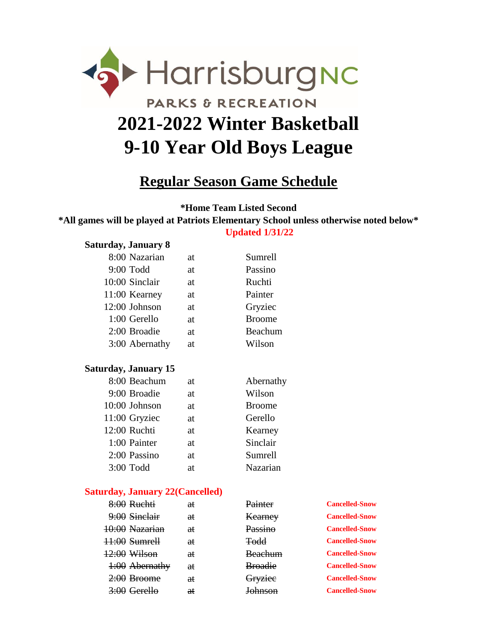

# **Regular Season Game Schedule**

**\*Home Team Listed Second**

**\*All games will be played at Patriots Elementary School unless otherwise noted below\* Updated 1/31/22**

#### **Saturday, January 8**

| 8:00 Nazarian  | at        | Sumrell       |
|----------------|-----------|---------------|
| 9:00 Todd      | at        | Passino       |
| 10:00 Sinclair | at        | Ruchti        |
| 11:00 Kearney  | at        | Painter       |
| 12:00 Johnson  | at        | Gryziec       |
| 1:00 Gerello   | at        | <b>Broome</b> |
| 2:00 Broadie   | <b>at</b> | Beachum       |
| 3:00 Abernathy | at        | Wilson        |
|                |           |               |

#### **Saturday, January 15**

| 8:00 Beachum  | at | Abernathy     |
|---------------|----|---------------|
| 9:00 Broadie  | at | Wilson        |
| 10:00 Johnson | at | <b>Broome</b> |
| 11:00 Gryziec | at | Gerello       |
| 12:00 Ruchti  | at | Kearney       |
| 1:00 Painter  | at | Sinclair      |
| 2:00 Passino  | at | Sumrell       |
| 3:00 Todd     | at | Nazarian      |

#### **Saturday, January 22(Cancelled)**

| 8:00 Ruchti      | €ŧ | Painter        | <b>Cancelled-Snow</b> |
|------------------|----|----------------|-----------------------|
| $9:00$ Sinelair  | €ŧ | Kearney        | <b>Cancelled-Snow</b> |
| 10:00 Nazarian   | €ŧ | Passino        | <b>Cancelled-Snow</b> |
| $+1:00$ Sumrell  | €£ | <b>Todd</b>    | <b>Cancelled-Snow</b> |
| $12:00$ Wilson   | €ŧ | <b>Beachum</b> | <b>Cancelled-Snow</b> |
|                  |    |                |                       |
| $1:00$ Abernathy | €ŧ | <b>Broadie</b> | <b>Cancelled-Snow</b> |
| $2:00$ Broome    | €ŧ | Gryziee        | <b>Cancelled-Snow</b> |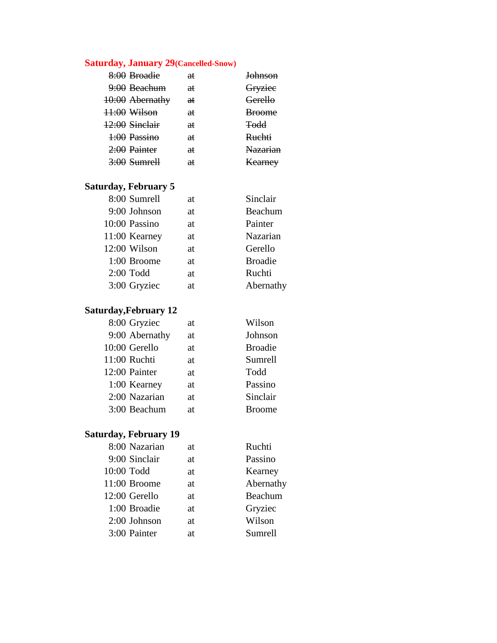### **Saturday, January 29(Cancelled-Snow)**

| 8:00 Broadie    | aŧ            | <b>Johnson</b>  |
|-----------------|---------------|-----------------|
| 9:00 Beachum    | aŧ            | Gryziee         |
| 10:00 Abernathy | ₩             | Gerello         |
| 11:00 Wilson    | <del>at</del> | <b>Broome</b>   |
| 12:00 Sinelair  | <del>at</del> | <b>Todd</b>     |
| 1:00 Passino    | <del>at</del> | Ruchti          |
| 2:00 Painter    | <del>at</del> | <b>Nazarian</b> |
| $3:00$ Sumrell  | <del>at</del> | Kearney         |

#### **Saturday, February 5**

| 8:00 Sumrell  | at | Sinclair       |
|---------------|----|----------------|
| 9:00 Johnson  | at | Beachum        |
| 10:00 Passino | at | Painter        |
| 11:00 Kearney | at | Nazarian       |
| 12:00 Wilson  | at | Gerello        |
| 1:00 Broome   | at | <b>Broadie</b> |
| $2:00$ Todd   | at | Ruchti         |
| 3:00 Gryziec  | at | Abernathy      |

### **Saturday,February 12**

| 8:00 Gryziec   | at | Wilson         |
|----------------|----|----------------|
| 9:00 Abernathy | at | Johnson        |
| 10:00 Gerello  | at | <b>Broadie</b> |
| 11:00 Ruchti   | at | Sumrell        |
| 12:00 Painter  | at | Todd           |
| 1:00 Kearney   | at | Passino        |
| 2:00 Nazarian  | at | Sinclair       |
| 3:00 Beachum   | at | <b>Broome</b>  |

### **Saturday, February 19**

| 8:00 Nazarian | at | Ruchti    |
|---------------|----|-----------|
| 9:00 Sinclair | at | Passino   |
| 10:00 Todd    | at | Kearney   |
| 11:00 Broome  | at | Abernathy |
| 12:00 Gerello | at | Beachum   |
| 1:00 Broadie  | at | Gryziec   |
| 2:00 Johnson  | at | Wilson    |
| 3:00 Painter  | at | Sumrell   |
|               |    |           |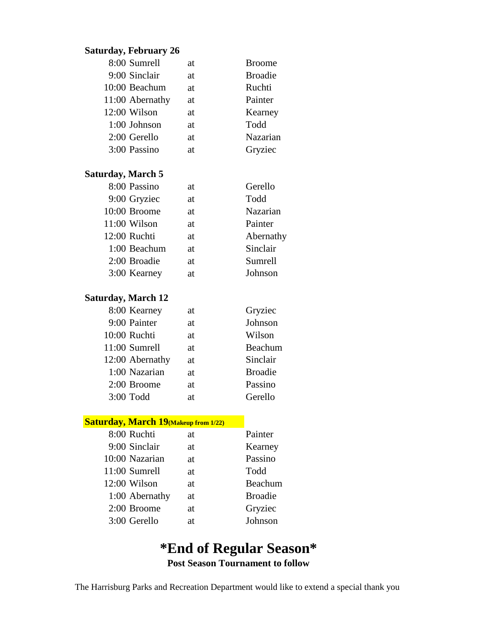### **Saturday, February 26**

| 8:00 Sumrell    | at        | <b>Broome</b>  |
|-----------------|-----------|----------------|
| 9:00 Sinclair   | at        | <b>Broadie</b> |
| 10:00 Beachum   | at        | Ruchti         |
| 11:00 Abernathy | at        | Painter        |
| 12:00 Wilson    | at        | Kearney        |
| 1:00 Johnson    | <b>at</b> | Todd           |
| 2:00 Gerello    | at        | Nazarian       |
| 3:00 Passino    | аt        | Gryziec        |

#### **Saturday, March 5**

| 8:00 Passino | at | Gerello   |
|--------------|----|-----------|
| 9:00 Gryziec | at | Todd      |
| 10:00 Broome | at | Nazarian  |
| 11:00 Wilson | at | Painter   |
| 12:00 Ruchti | at | Abernathy |
| 1:00 Beachum | at | Sinclair  |
| 2:00 Broadie | at | Sumrell   |
| 3:00 Kearney | at | Johnson   |

#### **Saturday, March 12**

| 8:00 Kearney    | at | Gryziec        |
|-----------------|----|----------------|
| 9:00 Painter    | at | Johnson        |
| 10:00 Ruchti    | at | Wilson         |
| 11:00 Sumrell   | at | Beachum        |
| 12:00 Abernathy | at | Sinclair       |
| 1:00 Nazarian   | at | <b>Broadie</b> |
| 2:00 Broome     | at | Passino        |
| $3:00$ Todd     | аt | Gerello        |

### **Saturday, March 19(Makeup from 1/22)**

| 8:00 Ruchti    | at  | Painter        |
|----------------|-----|----------------|
| 9:00 Sinclair  | at. | Kearney        |
| 10:00 Nazarian | at. | Passino        |
| 11:00 Sumrell  | at. | Todd           |
| 12:00 Wilson   | at. | Beachum        |
| 1:00 Abernathy | at  | <b>Broadie</b> |
| 2:00 Broome    | at  | Gryziec        |
| 3:00 Gerello   | at  | Johnson        |

## **Post Season Tournament to follow \*End of Regular Season\***

The Harrisburg Parks and Recreation Department would like to extend a special thank you